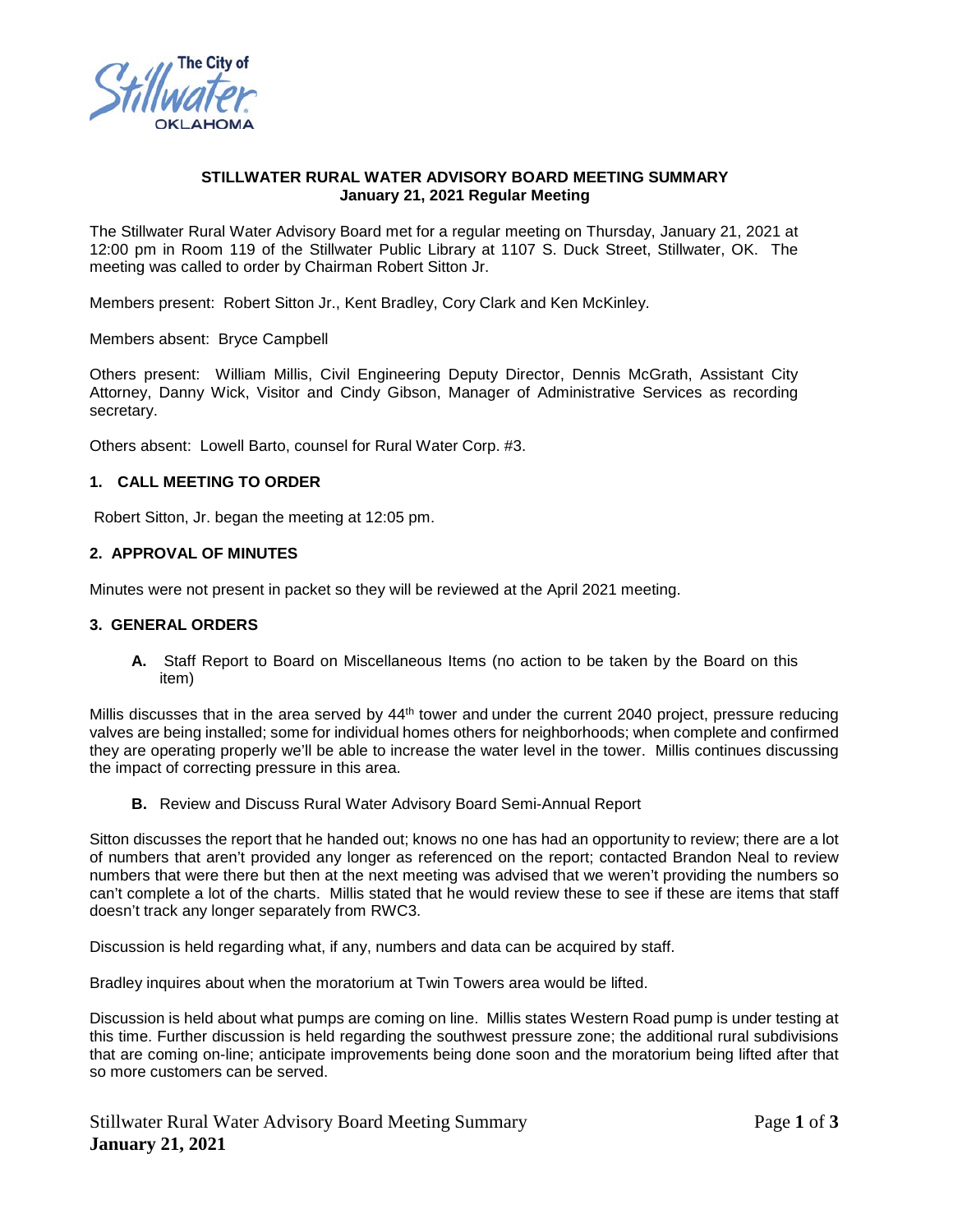

# **STILLWATER RURAL WATER ADVISORY BOARD MEETING SUMMARY January 21, 2021 Regular Meeting**

The Stillwater Rural Water Advisory Board met for a regular meeting on Thursday, January 21, 2021 at 12:00 pm in Room 119 of the Stillwater Public Library at 1107 S. Duck Street, Stillwater, OK. The meeting was called to order by Chairman Robert Sitton Jr.

Members present: Robert Sitton Jr., Kent Bradley, Cory Clark and Ken McKinley.

Members absent: Bryce Campbell

Others present: William Millis, Civil Engineering Deputy Director, Dennis McGrath, Assistant City Attorney, Danny Wick, Visitor and Cindy Gibson, Manager of Administrative Services as recording secretary.

Others absent: Lowell Barto, counsel for Rural Water Corp. #3.

# **1. CALL MEETING TO ORDER**

Robert Sitton, Jr. began the meeting at 12:05 pm.

# **2. APPROVAL OF MINUTES**

Minutes were not present in packet so they will be reviewed at the April 2021 meeting.

#### **3. GENERAL ORDERS**

**A.** Staff Report to Board on Miscellaneous Items (no action to be taken by the Board on this item)

Millis discusses that in the area served by 44<sup>th</sup> tower and under the current 2040 project, pressure reducing valves are being installed; some for individual homes others for neighborhoods; when complete and confirmed they are operating properly we'll be able to increase the water level in the tower. Millis continues discussing the impact of correcting pressure in this area.

**B.** Review and Discuss Rural Water Advisory Board Semi-Annual Report

Sitton discusses the report that he handed out; knows no one has had an opportunity to review; there are a lot of numbers that aren't provided any longer as referenced on the report; contacted Brandon Neal to review numbers that were there but then at the next meeting was advised that we weren't providing the numbers so can't complete a lot of the charts. Millis stated that he would review these to see if these are items that staff doesn't track any longer separately from RWC3.

Discussion is held regarding what, if any, numbers and data can be acquired by staff.

Bradley inquires about when the moratorium at Twin Towers area would be lifted.

Discussion is held about what pumps are coming on line. Millis states Western Road pump is under testing at this time. Further discussion is held regarding the southwest pressure zone; the additional rural subdivisions that are coming on-line; anticipate improvements being done soon and the moratorium being lifted after that so more customers can be served.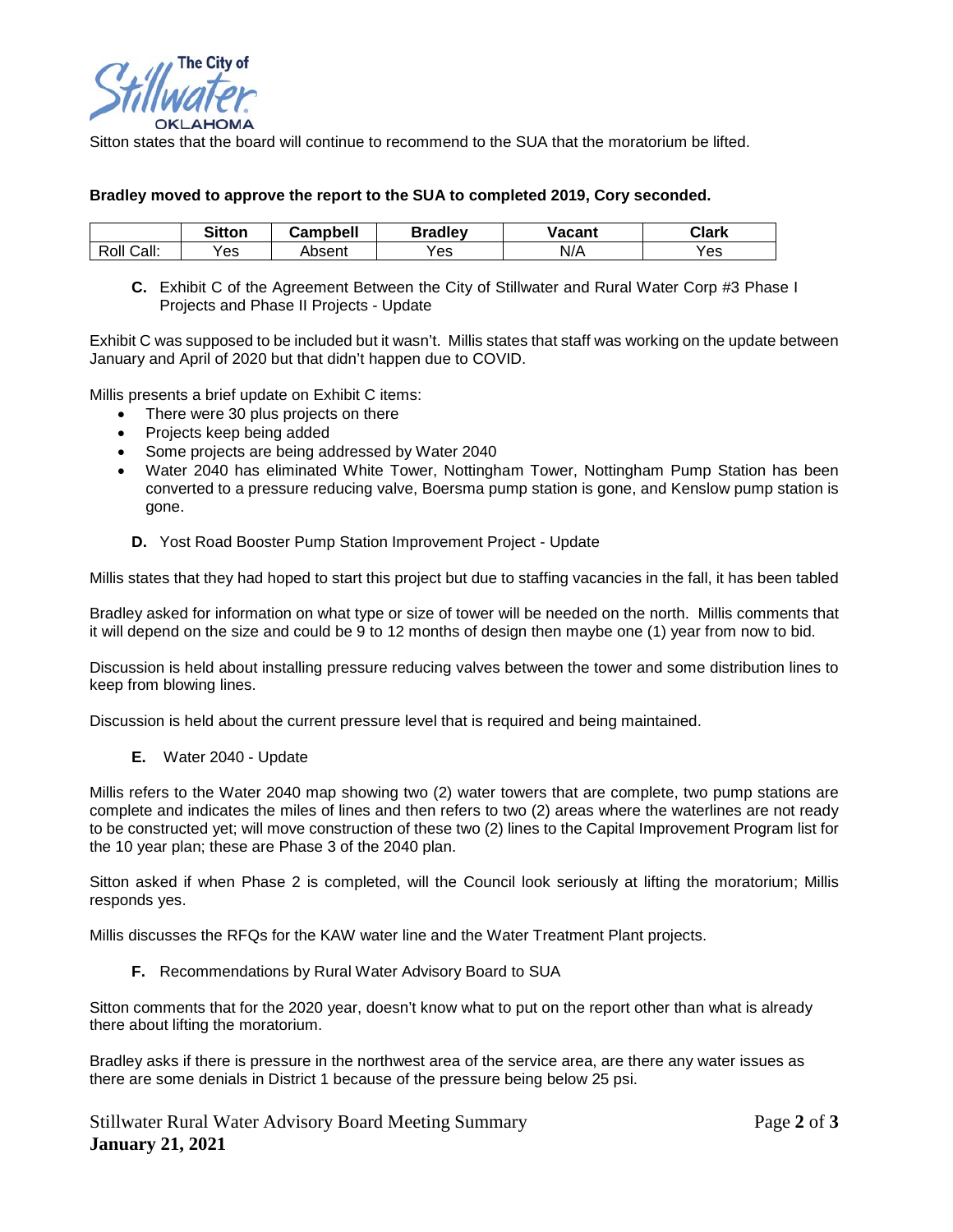

Sitton states that the board will continue to recommend to the SUA that the moratorium be lifted.

### **Bradley moved to approve the report to the SUA to completed 2019, Cory seconded.**

|               | <b>Sitton</b> | Campbell | <b>Bradley</b> | <b>Vacant</b> | Clark |
|---------------|---------------|----------|----------------|---------------|-------|
| Roll<br>Call: | res           | Absent   | Yes            | N/A           | Yes   |

**C.** Exhibit C of the Agreement Between the City of Stillwater and Rural Water Corp #3 Phase I Projects and Phase II Projects - Update

Exhibit C was supposed to be included but it wasn't. Millis states that staff was working on the update between January and April of 2020 but that didn't happen due to COVID.

Millis presents a brief update on Exhibit C items:

- There were 30 plus projects on there
- Projects keep being added
- Some projects are being addressed by Water 2040
- Water 2040 has eliminated White Tower, Nottingham Tower, Nottingham Pump Station has been converted to a pressure reducing valve, Boersma pump station is gone, and Kenslow pump station is gone.
	- **D.** Yost Road Booster Pump Station Improvement Project Update

Millis states that they had hoped to start this project but due to staffing vacancies in the fall, it has been tabled

Bradley asked for information on what type or size of tower will be needed on the north. Millis comments that it will depend on the size and could be 9 to 12 months of design then maybe one (1) year from now to bid.

Discussion is held about installing pressure reducing valves between the tower and some distribution lines to keep from blowing lines.

Discussion is held about the current pressure level that is required and being maintained.

**E.** Water 2040 - Update

Millis refers to the Water 2040 map showing two (2) water towers that are complete, two pump stations are complete and indicates the miles of lines and then refers to two (2) areas where the waterlines are not ready to be constructed yet; will move construction of these two (2) lines to the Capital Improvement Program list for the 10 year plan; these are Phase 3 of the 2040 plan.

Sitton asked if when Phase 2 is completed, will the Council look seriously at lifting the moratorium; Millis responds yes.

Millis discusses the RFQs for the KAW water line and the Water Treatment Plant projects.

**F.** Recommendations by Rural Water Advisory Board to SUA

Sitton comments that for the 2020 year, doesn't know what to put on the report other than what is already there about lifting the moratorium.

Bradley asks if there is pressure in the northwest area of the service area, are there any water issues as there are some denials in District 1 because of the pressure being below 25 psi.

Stillwater Rural Water Advisory Board Meeting Summary Page **2** of **3 January 21, 2021**